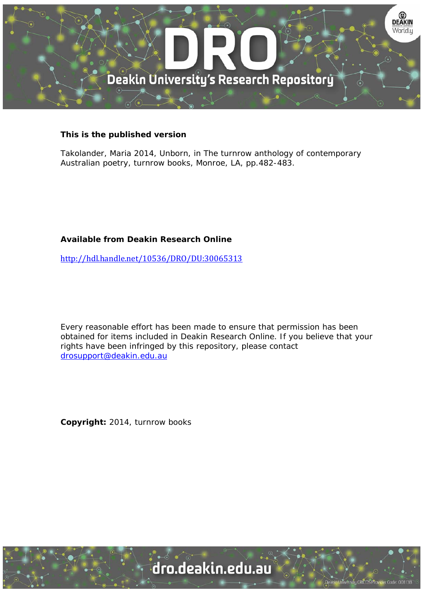

## **This is the published version**

Takolander, Maria 2014, Unborn, in The turnrow anthology of contemporary Australian poetry, turnrow books, Monroe, LA, pp.482-483.

## **Available from Deakin Research Online**

http://hdl.handle.net/10536/DRO/DU:30065313

Every reasonable effort has been made to ensure that permission has been obtained for items included in Deakin Research Online. If you believe that your rights have been infringed by this repository, please contact drosupport@deakin.edu.au

**Copyright:** 2014, turnrow books

University CRICOS Provider Code: 00113B